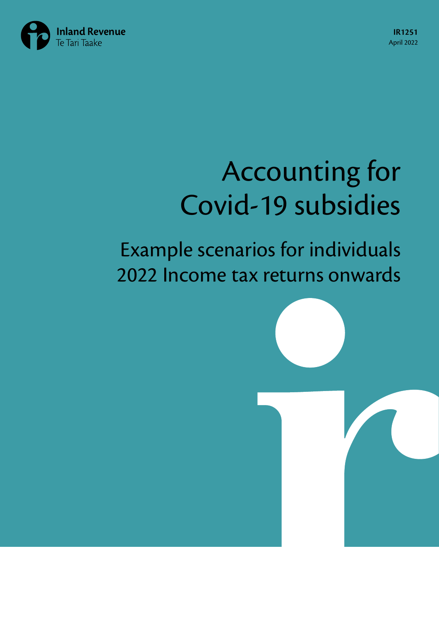

# Accounting for Covid-19 subsidies

## Example scenarios for individuals 2022 Income tax returns onwards

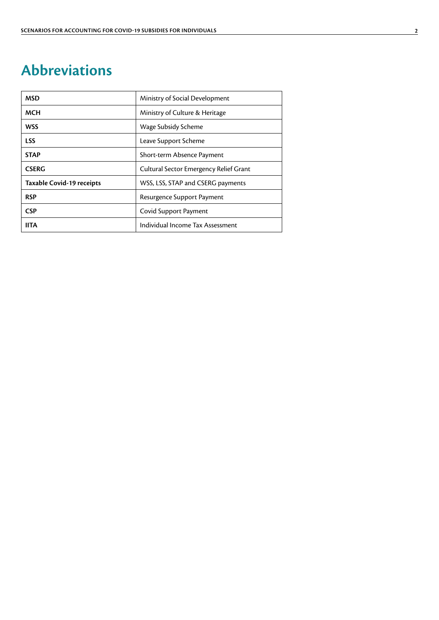### <span id="page-1-0"></span>**Abbreviations**

| <b>MSD</b>                | Ministry of Social Development         |
|---------------------------|----------------------------------------|
| <b>MCH</b>                | Ministry of Culture & Heritage         |
| <b>WSS</b>                | Wage Subsidy Scheme                    |
| <b>LSS</b>                | Leave Support Scheme                   |
| <b>STAP</b>               | Short-term Absence Payment             |
| <b>CSERG</b>              | Cultural Sector Emergency Relief Grant |
| Taxable Covid-19 receipts | WSS, LSS, STAP and CSERG payments      |
| <b>RSP</b>                | Resurgence Support Payment             |
| <b>CSP</b>                | Covid Support Payment                  |
| <b>IITA</b>               | Individual Income Tax Assessment       |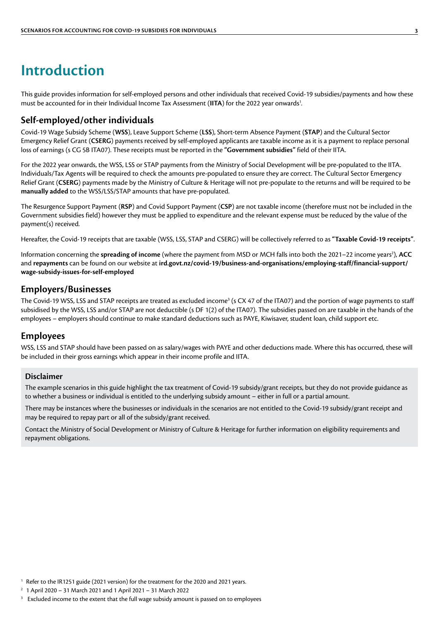### <span id="page-2-0"></span>**Introduction**

This guide provides information for self-employed persons and other individuals that received Covid-19 subsidies/payments and how these must be accounted for in their Individual Income Tax Assessment (IITA) for the 2022 year onwards<sup>1</sup>.

#### **Self-employed/other individuals**

Covid-19 Wage Subsidy Scheme (**WSS**), Leave Support Scheme (**LSS**), Short-term Absence Payment (**STAP**) and the Cultural Sector Emergency Relief Grant (**CSERG**) payments received by self-employed applicants are taxable income as it is a payment to replace personal loss of earnings (s CG 5B ITA07). These receipts must be reported in the **"Government subsidies"** field of their IITA.

For the 2022 year onwards, the WSS, LSS or STAP payments from the Ministry of Social Development will be pre-populated to the IITA. Individuals/Tax Agents will be required to check the amounts pre-populated to ensure they are correct. The Cultural Sector Emergency Relief Grant (**CSERG**) payments made by the Ministry of Culture & Heritage will not pre-populate to the returns and will be required to be **manually added** to the WSS/LSS/STAP amounts that have pre-populated.

The Resurgence Support Payment (**RSP**) and Covid Support Payment (**CSP**) are not taxable income (therefore must not be included in the Government subsidies field) however they must be applied to expenditure and the relevant expense must be reduced by the value of the payment(s) received.

Hereafter, the Covid-19 receipts that are taxable (WSS, LSS, STAP and CSERG) will be collectively referred to as **"Taxable Covid-19 receipts"**.

Information concerning the **spreading of income** (where the payment from MSD or MCH falls into both the 2021–22 income years<sup>2</sup>), **ACC** and **repayments** can be found on our website at **[ird.govt.nz/covid-19/business-and-organisations/employing-staff/financial-support/](http://ird.govt.nz/covid-19/business-and-organisations/employing-staff/financial-support/wage-subsidy-issues-for-self-employed) [wage-subsidy-issues-for-self-employed](http://ird.govt.nz/covid-19/business-and-organisations/employing-staff/financial-support/wage-subsidy-issues-for-self-employed)**

#### **Employers/Businesses**

The Covid-19 WSS, LSS and STAP receipts are treated as excluded income $^3$  (s CX 47 of the ITA07) and the portion of wage payments to staff subsidised by the WSS, LSS and/or STAP are not deductible (s DF 1(2) of the ITA07). The subsidies passed on are taxable in the hands of the employees – employers should continue to make standard deductions such as PAYE, Kiwisaver, student loan, child support etc.

#### **Employees**

WSS, LSS and STAP should have been passed on as salary/wages with PAYE and other deductions made. Where this has occurred, these will be included in their gross earnings which appear in their income profile and IITA.

#### **Disclaimer**

The example scenarios in this guide highlight the tax treatment of Covid-19 subsidy/grant receipts, but they do not provide guidance as to whether a business or individual is entitled to the underlying subsidy amount – either in full or a partial amount.

There may be instances where the businesses or individuals in the scenarios are not entitled to the Covid-19 subsidy/grant receipt and may be required to repay part or all of the subsidy/grant received.

Contact the Ministry of Social Development or Ministry of Culture & Heritage for further information on eligibility requirements and repayment obligations.

<sup>1</sup> Refer to the IR1251 guide (2021 version) for the treatment for the 2020 and 2021 years.

- <sup>2</sup> 1 April 2020 31 March 2021 and 1 April 2021 31 March 2022
- <sup>3</sup> Excluded income to the extent that the full wage subsidy amount is passed on to employees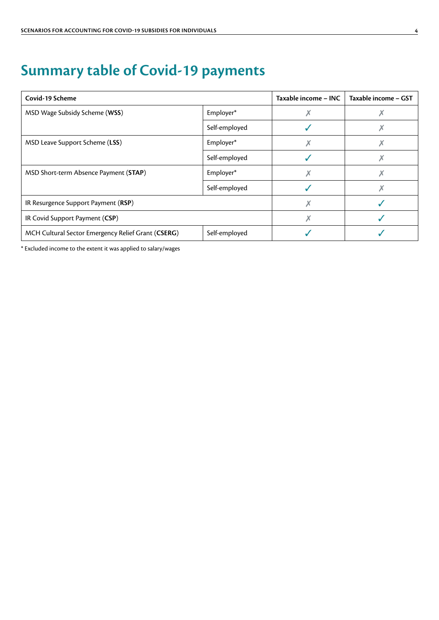### <span id="page-3-0"></span>**Summary table of Covid-19 payments**

| Covid-19 Scheme                                    |               | Taxable income - INC | Taxable income - GST |
|----------------------------------------------------|---------------|----------------------|----------------------|
| MSD Wage Subsidy Scheme (WSS)                      | Employer*     |                      |                      |
|                                                    | Self-employed |                      |                      |
| MSD Leave Support Scheme (LSS)                     | Employer*     |                      |                      |
|                                                    | Self-employed |                      |                      |
| MSD Short-term Absence Payment (STAP)              | Employer*     |                      |                      |
|                                                    | Self-employed |                      |                      |
| IR Resurgence Support Payment (RSP)                |               |                      |                      |
| IR Covid Support Payment (CSP)                     |               |                      |                      |
| MCH Cultural Sector Emergency Relief Grant (CSERG) | Self-employed |                      |                      |

\* Excluded income to the extent it was applied to salary/wages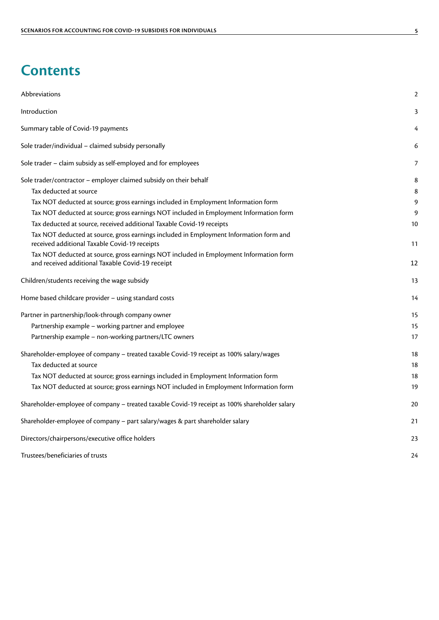### **Contents**

| Abbreviations                                                                                                                              | $\overline{2}$ |
|--------------------------------------------------------------------------------------------------------------------------------------------|----------------|
| Introduction                                                                                                                               | 3              |
| Summary table of Covid-19 payments                                                                                                         | 4              |
| Sole trader/individual - claimed subsidy personally                                                                                        | 6              |
| Sole trader - claim subsidy as self-employed and for employees                                                                             | 7              |
| Sole trader/contractor - employer claimed subsidy on their behalf                                                                          | 8              |
| Tax deducted at source                                                                                                                     | 8              |
| Tax NOT deducted at source; gross earnings included in Employment Information form                                                         | 9              |
| Tax NOT deducted at source; gross earnings NOT included in Employment Information form                                                     | 9              |
| Tax deducted at source, received additional Taxable Covid-19 receipts                                                                      | 10             |
| Tax NOT deducted at source, gross earnings included in Employment Information form and                                                     |                |
| received additional Taxable Covid-19 receipts                                                                                              | 11             |
| Tax NOT deducted at source, gross earnings NOT included in Employment Information form<br>and received additional Taxable Covid-19 receipt | 12             |
| Children/students receiving the wage subsidy                                                                                               | 13             |
| Home based childcare provider - using standard costs                                                                                       | 14             |
| Partner in partnership/look-through company owner                                                                                          | 15             |
| Partnership example - working partner and employee                                                                                         | 15             |
| Partnership example - non-working partners/LTC owners                                                                                      | 17             |
| Shareholder-employee of company - treated taxable Covid-19 receipt as 100% salary/wages                                                    | 18             |
| Tax deducted at source                                                                                                                     | 18             |
| Tax NOT deducted at source; gross earnings included in Employment Information form                                                         | 18             |
| Tax NOT deducted at source; gross earnings NOT included in Employment Information form                                                     | 19             |
| Shareholder-employee of company - treated taxable Covid-19 receipt as 100% shareholder salary                                              | 20             |
| Shareholder-employee of company - part salary/wages & part shareholder salary                                                              | 21             |
| Directors/chairpersons/executive office holders                                                                                            | 23             |
| Trustees/beneficiaries of trusts                                                                                                           | 24             |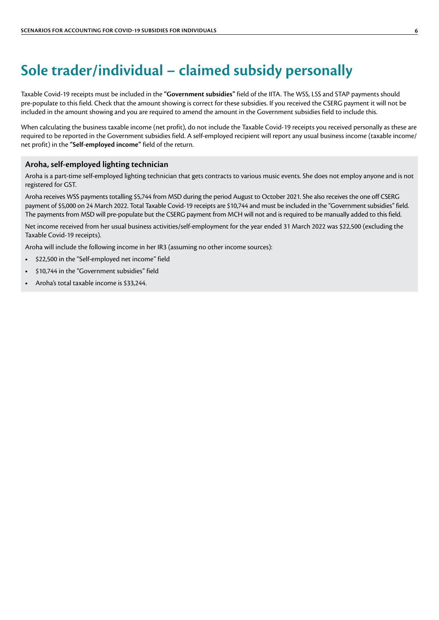### <span id="page-5-0"></span>**Sole trader/individual – claimed subsidy personally**

Taxable Covid-19 receipts must be included in the **"Government subsidies"** field of the IITA. The WSS, LSS and STAP payments should pre-populate to this field. Check that the amount showing is correct for these subsidies. If you received the CSERG payment it will not be included in the amount showing and you are required to amend the amount in the Government subsidies field to include this.

When calculating the business taxable income (net profit), do not include the Taxable Covid-19 receipts you received personally as these are required to be reported in the Government subsidies field. A self-employed recipient will report any usual business income (taxable income/ net profit) in the **"Self-employed income"** field of the return.

#### **Aroha, self-employed lighting technician**

Aroha is a part-time self-employed lighting technician that gets contracts to various music events. She does not employ anyone and is not registered for GST.

Aroha receives WSS payments totalling \$5,744 from MSD during the period August to October 2021. She also receives the one off CSERG payment of \$5,000 on 24 March 2022. Total Taxable Covid-19 receipts are \$10,744 and must be included in the "Government subsidies" field. The payments from MSD will pre-populate but the CSERG payment from MCH will not and is required to be manually added to this field.

Net income received from her usual business activities/self-employment for the year ended 31 March 2022 was \$22,500 (excluding the Taxable Covid-19 receipts).

Aroha will include the following income in her IR3 (assuming no other income sources):

- **•** \$22,500 in the "Self-employed net income" field
- **•** \$10,744 in the "Government subsidies" field
- **•** Aroha's total taxable income is \$33,244.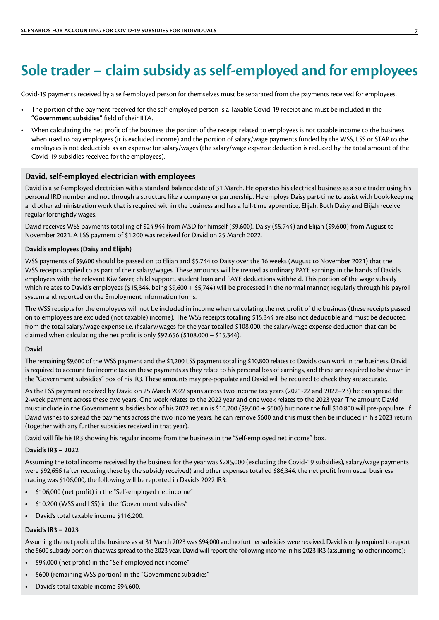### <span id="page-6-0"></span>**Sole trader – claim subsidy as self-employed and for employees**

Covid-19 payments received by a self-employed person for themselves must be separated from the payments received for employees.

- **•** The portion of the payment received for the self-employed person is a Taxable Covid-19 receipt and must be included in the **"Government subsidies"** field of their IITA.
- **•** When calculating the net profit of the business the portion of the receipt related to employees is not taxable income to the business when used to pay employees (it is excluded income) and the portion of salary/wage payments funded by the WSS, LSS or STAP to the employees is not deductible as an expense for salary/wages (the salary/wage expense deduction is reduced by the total amount of the Covid-19 subsidies received for the employees).

#### **David, self-employed electrician with employees**

David is a self-employed electrician with a standard balance date of 31 March. He operates his electrical business as a sole trader using his personal IRD number and not through a structure like a company or partnership. He employs Daisy part-time to assist with book-keeping and other administration work that is required within the business and has a full-time apprentice, Elijah. Both Daisy and Elijah receive regular fortnightly wages.

David receives WSS payments totalling of \$24,944 from MSD for himself (\$9,600), Daisy (\$5,744) and Elijah (\$9,600) from August to November 2021. A LSS payment of \$1,200 was received for David on 25 March 2022.

#### **David's employees (Daisy and Elijah)**

WSS payments of \$9,600 should be passed on to Elijah and \$5,744 to Daisy over the 16 weeks (August to November 2021) that the WSS receipts applied to as part of their salary/wages. These amounts will be treated as ordinary PAYE earnings in the hands of David's employees with the relevant KiwiSaver, child support, student loan and PAYE deductions withheld. This portion of the wage subsidy which relates to David's employees (\$15,344, being \$9,600 + \$5,744) will be processed in the normal manner, regularly through his payroll system and reported on the Employment Information forms.

The WSS receipts for the employees will not be included in income when calculating the net profit of the business (these receipts passed on to employees are excluded (not taxable) income). The WSS receipts totalling \$15,344 are also not deductible and must be deducted from the total salary/wage expense i.e. if salary/wages for the year totalled \$108,000, the salary/wage expense deduction that can be claimed when calculating the net profit is only \$92,656 (\$108,000 – \$15,344).

#### **David**

The remaining \$9,600 of the WSS payment and the \$1,200 LSS payment totalling \$10,800 relates to David's own work in the business. David is required to account for income tax on these payments as they relate to his personal loss of earnings, and these are required to be shown in the "Government subsidies" box of his IR3. These amounts may pre-populate and David will be required to check they are accurate.

As the LSS payment received by David on 25 March 2022 spans across two income tax years (2021-22 and 2022–23) he can spread the 2-week payment across these two years. One week relates to the 2022 year and one week relates to the 2023 year. The amount David must include in the Government subsidies box of his 2022 return is \$10,200 (\$9,600 + \$600) but note the full \$10,800 will pre-populate. If David wishes to spread the payments across the two income years, he can remove \$600 and this must then be included in his 2023 return (together with any further subsidies received in that year).

David will file his IR3 showing his regular income from the business in the "Self-employed net income" box.

#### **David's IR3 – 2022**

Assuming the total income received by the business for the year was \$285,000 (excluding the Covid-19 subsidies), salary/wage payments were \$92,656 (after reducing these by the subsidy received) and other expenses totalled \$86,344, the net profit from usual business trading was \$106,000, the following will be reported in David's 2022 IR3:

- **•** \$106,000 (net profit) in the "Self-employed net income"
- **•** \$10,200 (WSS and LSS) in the "Government subsidies"
- **•** David's total taxable income \$116,200.

#### **David's IR3 – 2023**

Assuming the net profit of the business as at 31 March 2023 was \$94,000 and no further subsidies were received, David is only required to report the \$600 subsidy portion that was spread to the 2023 year. David will report the following income in his 2023 IR3 (assuming no other income):

- **•** \$94,000 (net profit) in the "Self-employed net income"
- **•** \$600 (remaining WSS portion) in the "Government subsidies"
- **•** David's total taxable income \$94,600.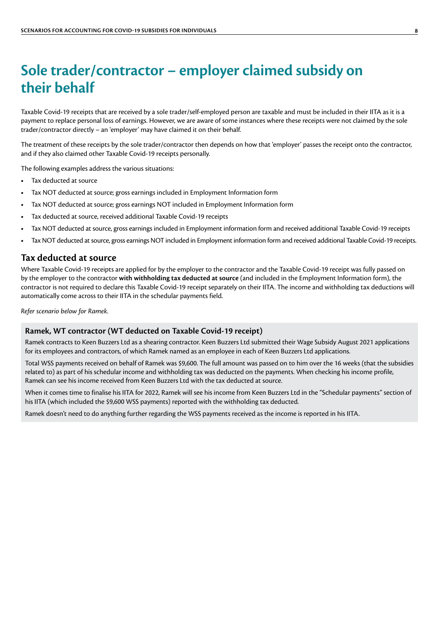### <span id="page-7-0"></span>**Sole trader/contractor – employer claimed subsidy on their behalf**

Taxable Covid-19 receipts that are received by a sole trader/self-employed person are taxable and must be included in their IITA as it is a payment to replace personal loss of earnings. However, we are aware of some instances where these receipts were not claimed by the sole trader/contractor directly – an 'employer' may have claimed it on their behalf.

The treatment of these receipts by the sole trader/contractor then depends on how that 'employer' passes the receipt onto the contractor, and if they also claimed other Taxable Covid-19 receipts personally.

The following examples address the various situations:

- **•** Tax deducted at source
- **•** Tax NOT deducted at source; gross earnings included in Employment Information form
- **•** Tax NOT deducted at source; gross earnings NOT included in Employment Information form
- **•** Tax deducted at source, received additional Taxable Covid-19 receipts
- **•** Tax NOT deducted at source, gross earnings included in Employment information form and received additional Taxable Covid-19 receipts
- **•** Tax NOT deducted at source, gross earnings NOT included in Employment information form and received additional Taxable Covid-19 receipts.

#### **Tax deducted at source**

Where Taxable Covid-19 receipts are applied for by the employer to the contractor and the Taxable Covid-19 receipt was fully passed on by the employer to the contractor **with withholding tax deducted at source** (and included in the Employment Information form), the contractor is not required to declare this Taxable Covid-19 receipt separately on their IITA. The income and withholding tax deductions will automatically come across to their IITA in the schedular payments field.

*Refer scenario below for Ramek.*

#### **Ramek, WT contractor (WT deducted on Taxable Covid-19 receipt)**

Ramek contracts to Keen Buzzers Ltd as a shearing contractor. Keen Buzzers Ltd submitted their Wage Subsidy August 2021 applications for its employees and contractors, of which Ramek named as an employee in each of Keen Buzzers Ltd applications.

Total WSS payments received on behalf of Ramek was \$9,600. The full amount was passed on to him over the 16 weeks (that the subsidies related to) as part of his schedular income and withholding tax was deducted on the payments. When checking his income profile, Ramek can see his income received from Keen Buzzers Ltd with the tax deducted at source.

When it comes time to finalise his IITA for 2022, Ramek will see his income from Keen Buzzers Ltd in the "Schedular payments" section of his IITA (which included the \$9,600 WSS payments) reported with the withholding tax deducted.

Ramek doesn't need to do anything further regarding the WSS payments received as the income is reported in his IITA.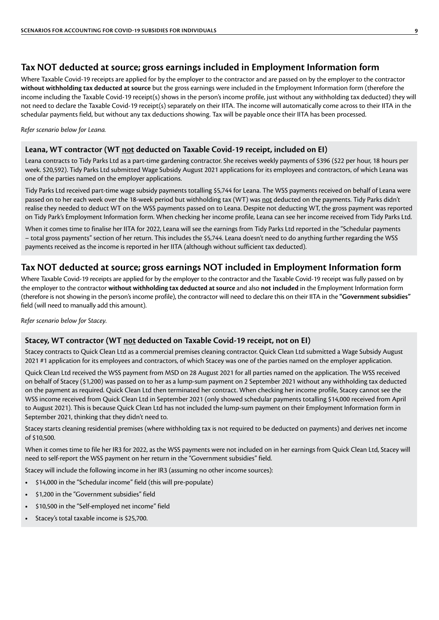#### <span id="page-8-0"></span>**Tax NOT deducted at source; gross earnings included in Employment Information form**

Where Taxable Covid-19 receipts are applied for by the employer to the contractor and are passed on by the employer to the contractor **without withholding tax deducted at source** but the gross earnings were included in the Employment Information form (therefore the income including the Taxable Covid-19 receipt(s) shows in the person's income profile, just without any withholding tax deducted) they will not need to declare the Taxable Covid-19 receipt(s) separately on their IITA. The income will automatically come across to their IITA in the schedular payments field, but without any tax deductions showing. Tax will be payable once their IITA has been processed.

*Refer scenario below for Leana.*

#### **Leana, WT contractor (WT not deducted on Taxable Covid-19 receipt, included on EI)**

Leana contracts to Tidy Parks Ltd as a part-time gardening contractor. She receives weekly payments of \$396 (\$22 per hour, 18 hours per week. \$20,592). Tidy Parks Ltd submitted Wage Subsidy August 2021 applications for its employees and contractors, of which Leana was one of the parties named on the employer applications.

Tidy Parks Ltd received part-time wage subsidy payments totalling \$5,744 for Leana. The WSS payments received on behalf of Leana were passed on to her each week over the 18-week period but withholding tax (WT) was not deducted on the payments. Tidy Parks didn't realise they needed to deduct WT on the WSS payments passed on to Leana. Despite not deducting WT, the gross payment was reported on Tidy Park's Employment Information form. When checking her income profile, Leana can see her income received from Tidy Parks Ltd.

When it comes time to finalise her IITA for 2022, Leana will see the earnings from Tidy Parks Ltd reported in the "Schedular payments – total gross payments" section of her return. This includes the \$5,744. Leana doesn't need to do anything further regarding the WSS payments received as the income is reported in her IITA (although without sufficient tax deducted).

#### **Tax NOT deducted at source; gross earnings NOT included in Employment Information form**

Where Taxable Covid-19 receipts are applied for by the employer to the contractor and the Taxable Covid-19 receipt was fully passed on by the employer to the contractor **without withholding tax deducted at source** and also **not included** in the Employment Information form (therefore is not showing in the person's income profile), the contractor will need to declare this on their IITA in the **"Government subsidies"**  field (will need to manually add this amount).

*Refer scenario below for Stacey.*

#### **Stacey, WT contractor (WT not deducted on Taxable Covid-19 receipt, not on EI)**

Stacey contracts to Quick Clean Ltd as a commercial premises cleaning contractor. Quick Clean Ltd submitted a Wage Subsidy August 2021 #1 application for its employees and contractors, of which Stacey was one of the parties named on the employer application.

Quick Clean Ltd received the WSS payment from MSD on 28 August 2021 for all parties named on the application. The WSS received on behalf of Stacey (\$1,200) was passed on to her as a lump-sum payment on 2 September 2021 without any withholding tax deducted on the payment as required. Quick Clean Ltd then terminated her contract. When checking her income profile, Stacey cannot see the WSS income received from Quick Clean Ltd in September 2021 (only showed schedular payments totalling \$14,000 received from April to August 2021). This is because Quick Clean Ltd has not included the lump-sum payment on their Employment Information form in September 2021, thinking that they didn't need to.

Stacey starts cleaning residential premises (where withholding tax is not required to be deducted on payments) and derives net income of \$10,500.

When it comes time to file her IR3 for 2022, as the WSS payments were not included on in her earnings from Quick Clean Ltd, Stacey will need to self-report the WSS payment on her return in the "Government subsidies" field.

Stacey will include the following income in her IR3 (assuming no other income sources):

- **•** \$14,000 in the "Schedular income" field (this will pre-populate)
- **•** \$1,200 in the "Government subsidies" field
- **•** \$10,500 in the "Self-employed net income" field
- **•** Stacey's total taxable income is \$25,700.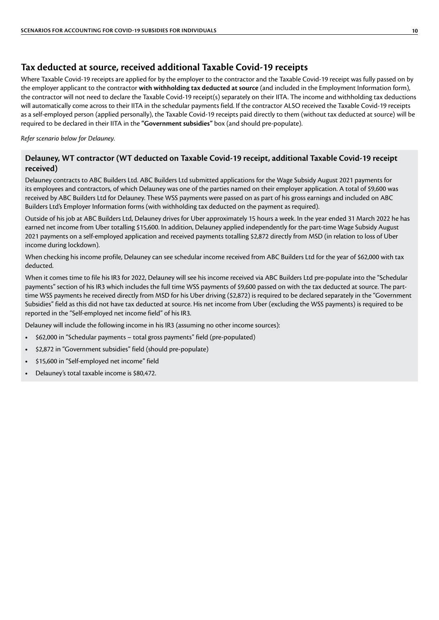#### <span id="page-9-0"></span>**Tax deducted at source, received additional Taxable Covid-19 receipts**

Where Taxable Covid-19 receipts are applied for by the employer to the contractor and the Taxable Covid-19 receipt was fully passed on by the employer applicant to the contractor **with withholding tax deducted at source** (and included in the Employment Information form), the contractor will not need to declare the Taxable Covid-19 receipt(s) separately on their IITA. The income and withholding tax deductions will automatically come across to their IITA in the schedular payments field. If the contractor ALSO received the Taxable Covid-19 receipts as a self-employed person (applied personally), the Taxable Covid-19 receipts paid directly to them (without tax deducted at source) will be required to be declared in their IITA in the **"Government subsidies"** box (and should pre-populate).

*Refer scenario below for Delauney.*

#### **Delauney, WT contractor (WT deducted on Taxable Covid-19 receipt, additional Taxable Covid-19 receipt received)**

Delauney contracts to ABC Builders Ltd. ABC Builders Ltd submitted applications for the Wage Subsidy August 2021 payments for its employees and contractors, of which Delauney was one of the parties named on their employer application. A total of \$9,600 was received by ABC Builders Ltd for Delauney. These WSS payments were passed on as part of his gross earnings and included on ABC Builders Ltd's Employer Information forms (with withholding tax deducted on the payment as required).

Outside of his job at ABC Builders Ltd, Delauney drives for Uber approximately 15 hours a week. In the year ended 31 March 2022 he has earned net income from Uber totalling \$15,600. In addition, Delauney applied independently for the part-time Wage Subsidy August 2021 payments on a self-employed application and received payments totalling \$2,872 directly from MSD (in relation to loss of Uber income during lockdown).

When checking his income profile, Delauney can see schedular income received from ABC Builders Ltd for the year of \$62,000 with tax deducted.

When it comes time to file his IR3 for 2022, Delauney will see his income received via ABC Builders Ltd pre-populate into the "Schedular payments" section of his IR3 which includes the full time WSS payments of \$9,600 passed on with the tax deducted at source. The parttime WSS payments he received directly from MSD for his Uber driving (\$2,872) is required to be declared separately in the "Government Subsidies" field as this did not have tax deducted at source. His net income from Uber (excluding the WSS payments) is required to be reported in the "Self-employed net income field" of his IR3.

Delauney will include the following income in his IR3 (assuming no other income sources):

- **•** \$62,000 in "Schedular payments total gross payments" field (pre-populated)
- **•** \$2,872 in "Government subsidies" field (should pre-populate)
- **•** \$15,600 in "Self-employed net income" field
- **•** Delauney's total taxable income is \$80,472.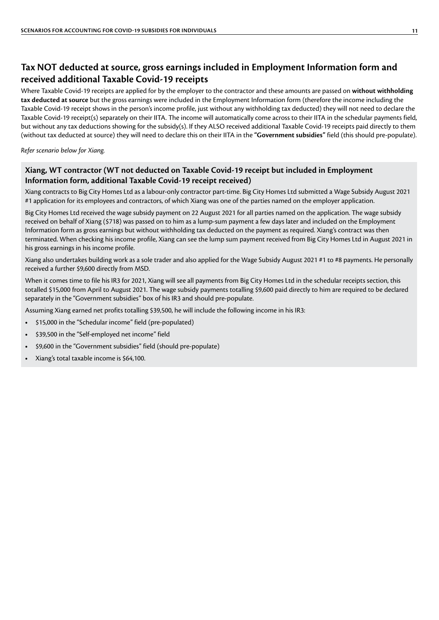#### <span id="page-10-0"></span>**Tax NOT deducted at source, gross earnings included in Employment Information form and received additional Taxable Covid-19 receipts**

Where Taxable Covid-19 receipts are applied for by the employer to the contractor and these amounts are passed on **without withholding tax deducted at source** but the gross earnings were included in the Employment Information form (therefore the income including the Taxable Covid-19 receipt shows in the person's income profile, just without any withholding tax deducted) they will not need to declare the Taxable Covid-19 receipt(s) separately on their IITA. The income will automatically come across to their IITA in the schedular payments field, but without any tax deductions showing for the subsidy(s). If they ALSO received additional Taxable Covid-19 receipts paid directly to them (without tax deducted at source) they will need to declare this on their IITA in the **"Government subsidies"** field (this should pre-populate).

*Refer scenario below for Xiang.*

#### **Xiang, WT contractor (WT not deducted on Taxable Covid-19 receipt but included in Employment Information form, additional Taxable Covid-19 receipt received)**

Xiang contracts to Big City Homes Ltd as a labour-only contractor part-time. Big City Homes Ltd submitted a Wage Subsidy August 2021 #1 application for its employees and contractors, of which Xiang was one of the parties named on the employer application.

Big City Homes Ltd received the wage subsidy payment on 22 August 2021 for all parties named on the application. The wage subsidy received on behalf of Xiang (\$718) was passed on to him as a lump-sum payment a few days later and included on the Employment Information form as gross earnings but without withholding tax deducted on the payment as required. Xiang's contract was then terminated. When checking his income profile, Xiang can see the lump sum payment received from Big City Homes Ltd in August 2021 in his gross earnings in his income profile.

Xiang also undertakes building work as a sole trader and also applied for the Wage Subsidy August 2021 #1 to #8 payments. He personally received a further \$9,600 directly from MSD.

When it comes time to file his IR3 for 2021, Xiang will see all payments from Big City Homes Ltd in the schedular receipts section, this totalled \$15,000 from April to August 2021. The wage subsidy payments totalling \$9,600 paid directly to him are required to be declared separately in the "Government subsidies" box of his IR3 and should pre-populate.

Assuming Xiang earned net profits totalling \$39,500, he will include the following income in his IR3:

- **•** \$15,000 in the "Schedular income" field (pre-populated)
- **•** \$39,500 in the "Self-employed net income" field
- **•** \$9,600 in the "Government subsidies" field (should pre-populate)
- **•** Xiang's total taxable income is \$64,100.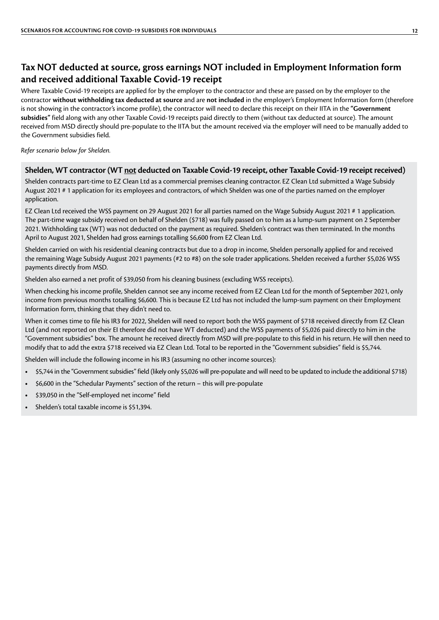#### <span id="page-11-0"></span>**Tax NOT deducted at source, gross earnings NOT included in Employment Information form and received additional Taxable Covid-19 receipt**

Where Taxable Covid-19 receipts are applied for by the employer to the contractor and these are passed on by the employer to the contractor **without withholding tax deducted at source** and are **not included** in the employer's Employment Information form (therefore is not showing in the contractor's income profile), the contractor will need to declare this receipt on their IITA in the **"Government subsidies"** field along with any other Taxable Covid-19 receipts paid directly to them (without tax deducted at source). The amount received from MSD directly should pre-populate to the IITA but the amount received via the employer will need to be manually added to the Government subsidies field.

*Refer scenario below for Shelden.*

#### **Shelden, WT contractor (WT not deducted on Taxable Covid-19 receipt, other Taxable Covid-19 receipt received)**

Shelden contracts part-time to EZ Clean Ltd as a commercial premises cleaning contractor. EZ Clean Ltd submitted a Wage Subsidy August 2021 # 1 application for its employees and contractors, of which Shelden was one of the parties named on the employer application.

EZ Clean Ltd received the WSS payment on 29 August 2021 for all parties named on the Wage Subsidy August 2021 # 1 application. The part-time wage subsidy received on behalf of Shelden (\$718) was fully passed on to him as a lump-sum payment on 2 September 2021. Withholding tax (WT) was not deducted on the payment as required. Shelden's contract was then terminated. In the months April to August 2021, Shelden had gross earnings totalling \$6,600 from EZ Clean Ltd.

Shelden carried on with his residential cleaning contracts but due to a drop in income, Shelden personally applied for and received the remaining Wage Subsidy August 2021 payments (#2 to #8) on the sole trader applications. Shelden received a further \$5,026 WSS payments directly from MSD.

Shelden also earned a net profit of \$39,050 from his cleaning business (excluding WSS receipts).

When checking his income profile, Shelden cannot see any income received from EZ Clean Ltd for the month of September 2021, only income from previous months totalling \$6,600. This is because EZ Ltd has not included the lump-sum payment on their Employment Information form, thinking that they didn't need to.

When it comes time to file his IR3 for 2022, Shelden will need to report both the WSS payment of \$718 received directly from EZ Clean Ltd (and not reported on their EI therefore did not have WT deducted) and the WSS payments of \$5,026 paid directly to him in the "Government subsidies" box. The amount he received directly from MSD will pre-populate to this field in his return. He will then need to modify that to add the extra \$718 received via EZ Clean Ltd. Total to be reported in the "Government subsidies" field is \$5,744.

Shelden will include the following income in his IR3 (assuming no other income sources):

- **•** \$5,744 in the "Government subsidies" field (likely only \$5,026 will pre-populate and will need to be updated to include the additional \$718)
- **•** \$6,600 in the "Schedular Payments" section of the return this will pre-populate
- **•** \$39,050 in the "Self-employed net income" field
- **•** Shelden's total taxable income is \$51,394.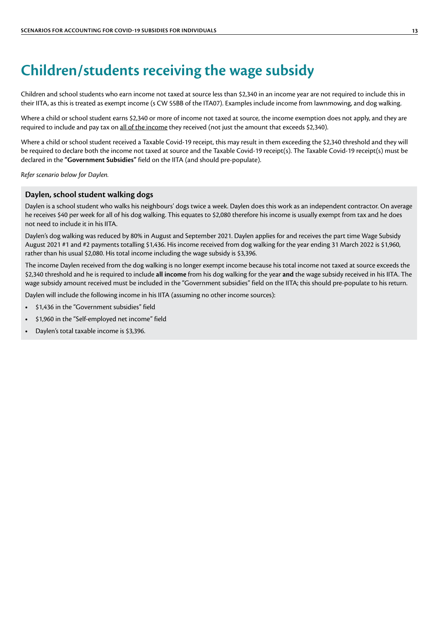### <span id="page-12-0"></span>**Children/students receiving the wage subsidy**

Children and school students who earn income not taxed at source less than \$2,340 in an income year are not required to include this in their IITA, as this is treated as exempt income (s CW 55BB of the ITA07). Examples include income from lawnmowing, and dog walking.

Where a child or school student earns \$2,340 or more of income not taxed at source, the income exemption does not apply, and they are required to include and pay tax on all of the income they received (not just the amount that exceeds \$2,340).

Where a child or school student received a Taxable Covid-19 receipt, this may result in them exceeding the \$2,340 threshold and they will be required to declare both the income not taxed at source and the Taxable Covid-19 receipt(s). The Taxable Covid-19 receipt(s) must be declared in the **"Government Subsidies"** field on the IITA (and should pre-populate).

*Refer scenario below for Daylen.*

#### **Daylen, school student walking dogs**

Daylen is a school student who walks his neighbours' dogs twice a week. Daylen does this work as an independent contractor. On average he receives \$40 per week for all of his dog walking. This equates to \$2,080 therefore his income is usually exempt from tax and he does not need to include it in his IITA.

Daylen's dog walking was reduced by 80% in August and September 2021. Daylen applies for and receives the part time Wage Subsidy August 2021 #1 and #2 payments totalling \$1,436. His income received from dog walking for the year ending 31 March 2022 is \$1,960, rather than his usual \$2,080. His total income including the wage subsidy is \$3,396.

The income Daylen received from the dog walking is no longer exempt income because his total income not taxed at source exceeds the \$2,340 threshold and he is required to include **all income** from his dog walking for the year **and** the wage subsidy received in his IITA. The wage subsidy amount received must be included in the "Government subsidies" field on the IITA; this should pre-populate to his return.

Daylen will include the following income in his IITA (assuming no other income sources):

- **•** \$1,436 in the "Government subsidies" field
- **•** \$1,960 in the "Self-employed net income" field
- **•** Daylen's total taxable income is \$3,396.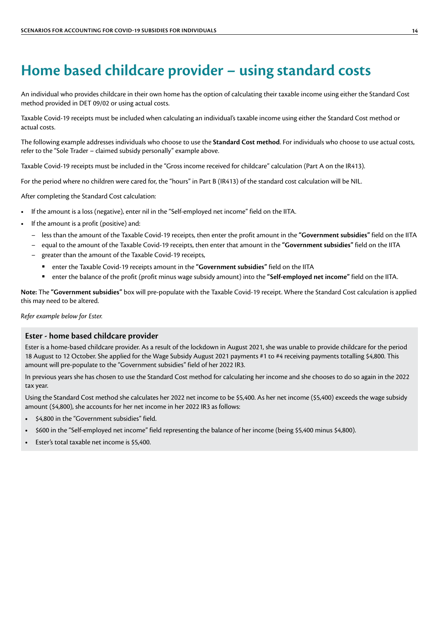### <span id="page-13-0"></span>**Home based childcare provider – using standard costs**

An individual who provides childcare in their own home has the option of calculating their taxable income using either the Standard Cost method provided in DET 09/02 or using actual costs.

Taxable Covid-19 receipts must be included when calculating an individual's taxable income using either the Standard Cost method or actual costs.

The following example addresses individuals who choose to use the **Standard Cost method**. For individuals who choose to use actual costs, refer to the "Sole Trader – claimed subsidy personally" example above.

Taxable Covid-19 receipts must be included in the "Gross income received for childcare" calculation (Part A on the IR413).

For the period where no children were cared for, the "hours" in Part B (IR413) of the standard cost calculation will be NIL.

After completing the Standard Cost calculation:

- **•** If the amount is a loss (negative), enter nil in the "Self-employed net income" field on the IITA.
- **•** If the amount is a profit (positive) and:
	- less than the amount of the Taxable Covid-19 receipts, then enter the profit amount in the **"Government subsidies"** field on the IITA
	- equal to the amount of the Taxable Covid-19 receipts, then enter that amount in the **"Government subsidies"** field on the IITA
	- greater than the amount of the Taxable Covid-19 receipts,
		- enter the Taxable Covid-19 receipts amount in the **"Government subsidies"** field on the IITA
		- enter the balance of the profit (profit minus wage subsidy amount) into the **"Self-employed net income"** field on the IITA.

**Note:** The **"Government subsidies"** box will pre-populate with the Taxable Covid-19 receipt. Where the Standard Cost calculation is applied this may need to be altered.

*Refer example below for Ester.*

#### **Ester - home based childcare provider**

Ester is a home-based childcare provider. As a result of the lockdown in August 2021, she was unable to provide childcare for the period 18 August to 12 October. She applied for the Wage Subsidy August 2021 payments #1 to #4 receiving payments totalling \$4,800. This amount will pre-populate to the "Government subsidies" field of her 2022 IR3.

In previous years she has chosen to use the Standard Cost method for calculating her income and she chooses to do so again in the 2022 tax year.

Using the Standard Cost method she calculates her 2022 net income to be \$5,400. As her net income (\$5,400) exceeds the wage subsidy amount (\$4,800), she accounts for her net income in her 2022 IR3 as follows:

- **•** \$4,800 in the "Government subsidies" field.
- **•** \$600 in the "Self-employed net income" field representing the balance of her income (being \$5,400 minus \$4,800).
- **•** Ester's total taxable net income is \$5,400.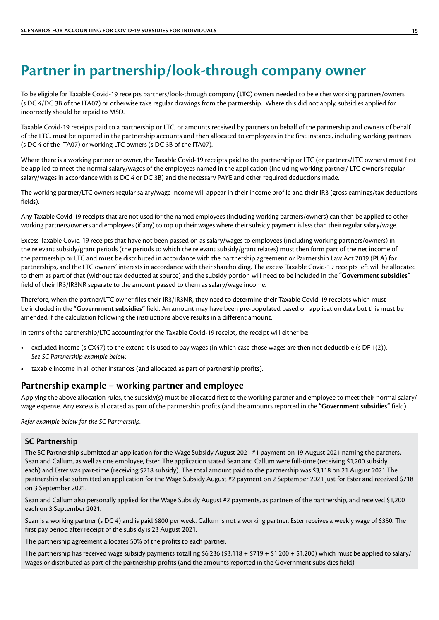### <span id="page-14-0"></span>**Partner in partnership/look-through company owner**

To be eligible for Taxable Covid-19 receipts partners/look-through company (**LTC**) owners needed to be either working partners/owners (s DC 4/DC 3B of the ITA07) or otherwise take regular drawings from the partnership. Where this did not apply, subsidies applied for incorrectly should be repaid to MSD.

Taxable Covid-19 receipts paid to a partnership or LTC, or amounts received by partners on behalf of the partnership and owners of behalf of the LTC, must be reported in the partnership accounts and then allocated to employees in the first instance, including working partners (s DC 4 of the ITA07) or working LTC owners (s DC 3B of the ITA07).

Where there is a working partner or owner, the Taxable Covid-19 receipts paid to the partnership or LTC (or partners/LTC owners) must first be applied to meet the normal salary/wages of the employees named in the application (including working partner/ LTC owner's regular salary/wages in accordance with ss DC 4 or DC 3B) and the necessary PAYE and other required deductions made.

The working partner/LTC owners regular salary/wage income will appear in their income profile and their IR3 (gross earnings/tax deductions fields).

Any Taxable Covid-19 receipts that are not used for the named employees (including working partners/owners) can then be applied to other working partners/owners and employees (if any) to top up their wages where their subsidy payment is less than their regular salary/wage.

Excess Taxable Covid-19 receipts that have not been passed on as salary/wages to employees (including working partners/owners) in the relevant subsidy/grant periods (the periods to which the relevant subsidy/grant relates) must then form part of the net income of the partnership or LTC and must be distributed in accordance with the partnership agreement or Partnership Law Act 2019 (**PLA**) for partnerships, and the LTC owners' interests in accordance with their shareholding. The excess Taxable Covid-19 receipts left will be allocated to them as part of that (without tax deducted at source) and the subsidy portion will need to be included in the **"Government subsidies"** field of their IR3/IR3NR separate to the amount passed to them as salary/wage income.

Therefore, when the partner/LTC owner files their IR3/IR3NR, they need to determine their Taxable Covid-19 receipts which must be included in the **"Government subsidies"** field. An amount may have been pre-populated based on application data but this must be amended if the calculation following the instructions above results in a different amount.

In terms of the partnership/LTC accounting for the Taxable Covid-19 receipt, the receipt will either be:

- **•** excluded income (s CX47) to the extent it is used to pay wages (in which case those wages are then not deductible (s DF 1(2)). *See SC Partnership example below.*
- **•** taxable income in all other instances (and allocated as part of partnership profits).

#### **Partnership example – working partner and employee**

Applying the above allocation rules, the subsidy(s) must be allocated first to the working partner and employee to meet their normal salary/ wage expense. Any excess is allocated as part of the partnership profits (and the amounts reported in the **"Government subsidies"** field).

*Refer example below for the SC Partnership.*

#### **SC Partnership**

The SC Partnership submitted an application for the Wage Subsidy August 2021 #1 payment on 19 August 2021 naming the partners, Sean and Callum, as well as one employee, Ester. The application stated Sean and Callum were full-time (receiving \$1,200 subsidy each) and Ester was part-time (receiving \$718 subsidy). The total amount paid to the partnership was \$3,118 on 21 August 2021. The partnership also submitted an application for the Wage Subsidy August #2 payment on 2 September 2021 just for Ester and received \$718 on 3 September 2021.

Sean and Callum also personally applied for the Wage Subsidy August #2 payments, as partners of the partnership, and received \$1,200 each on 3 September 2021.

Sean is a working partner (s DC 4) and is paid \$800 per week. Callum is not a working partner. Ester receives a weekly wage of \$350. The first pay period after receipt of the subsidy is 23 August 2021.

The partnership agreement allocates 50% of the profits to each partner.

The partnership has received wage subsidy payments totalling  $$6,236$  ( $$3,118 + $719 + $1,200 + $1,200$ ) which must be applied to salary/ wages or distributed as part of the partnership profits (and the amounts reported in the Government subsidies field).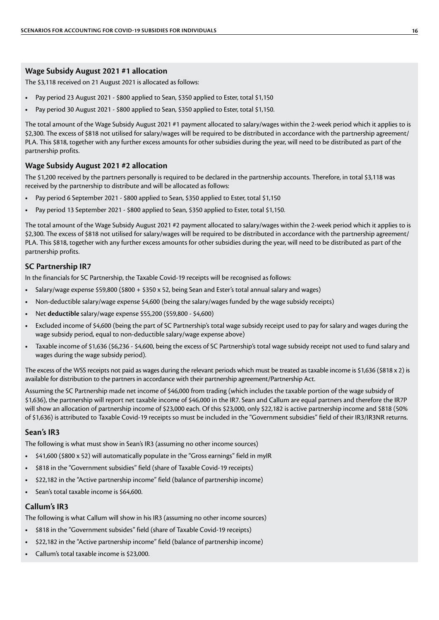#### **Wage Subsidy August 2021 #1 allocation**

The \$3,118 received on 21 August 2021 is allocated as follows:

- **•** Pay period 23 August 2021 \$800 applied to Sean, \$350 applied to Ester, total \$1,150
- Pay period 30 August 2021 \$800 applied to Sean, \$350 applied to Ester, total \$1,150.

The total amount of the Wage Subsidy August 2021 #1 payment allocated to salary/wages within the 2-week period which it applies to is \$2,300. The excess of \$818 not utilised for salary/wages will be required to be distributed in accordance with the partnership agreement/ PLA. This \$818, together with any further excess amounts for other subsidies during the year, will need to be distributed as part of the partnership profits.

#### **Wage Subsidy August 2021 #2 allocation**

The \$1,200 received by the partners personally is required to be declared in the partnership accounts. Therefore, in total \$3,118 was received by the partnership to distribute and will be allocated as follows:

- **•** Pay period 6 September 2021 \$800 applied to Sean, \$350 applied to Ester, total \$1,150
- Pay period 13 September 2021 \$800 applied to Sean, \$350 applied to Ester, total \$1,150.

The total amount of the Wage Subsidy August 2021 #2 payment allocated to salary/wages within the 2-week period which it applies to is \$2,300. The excess of \$818 not utilised for salary/wages will be required to be distributed in accordance with the partnership agreement/ PLA. This \$818, together with any further excess amounts for other subsidies during the year, will need to be distributed as part of the partnership profits.

#### **SC Partnership IR7**

In the financials for SC Partnership, the Taxable Covid-19 receipts will be recognised as follows:

- **•** Salary/wage expense \$59,800 (\$800 + \$350 x 52, being Sean and Ester's total annual salary and wages)
- **•** Non-deductible salary/wage expense \$4,600 (being the salary/wages funded by the wage subsidy receipts)
- **•** Net **deductible** salary/wage expense \$55,200 (\$59,800 \$4,600)
- **•** Excluded income of \$4,600 (being the part of SC Partnership's total wage subsidy receipt used to pay for salary and wages during the wage subsidy period, equal to non-deductible salary/wage expense above)
- **•** Taxable income of \$1,636 (\$6,236 \$4,600, being the excess of SC Partnership's total wage subsidy receipt not used to fund salary and wages during the wage subsidy period).

The excess of the WSS receipts not paid as wages during the relevant periods which must be treated as taxable income is \$1,636 (\$818 x 2) is available for distribution to the partners in accordance with their partnership agreement/Partnership Act.

Assuming the SC Partnership made net income of \$46,000 from trading (which includes the taxable portion of the wage subsidy of \$1,636), the partnership will report net taxable income of \$46,000 in the IR7. Sean and Callum are equal partners and therefore the IR7P will show an allocation of partnership income of \$23,000 each. Of this \$23,000, only \$22,182 is active partnership income and \$818 (50% of \$1,636) is attributed to Taxable Covid-19 receipts so must be included in the "Government subsidies" field of their IR3/IR3NR returns.

#### **Sean's IR3**

The following is what must show in Sean's IR3 (assuming no other income sources)

- **•** \$41,600 (\$800 x 52) will automatically populate in the "Gross earnings" field in myIR
- **•** \$818 in the "Government subsidies" field (share of Taxable Covid-19 receipts)
- **•** \$22,182 in the "Active partnership income" field (balance of partnership income)
- **•** Sean's total taxable income is \$64,600.

#### **Callum's IR3**

The following is what Callum will show in his IR3 (assuming no other income sources)

- **•** \$818 in the "Government subsides" field (share of Taxable Covid-19 receipts)
- **•** \$22,182 in the "Active partnership income" field (balance of partnership income)
- **•** Callum's total taxable income is \$23,000.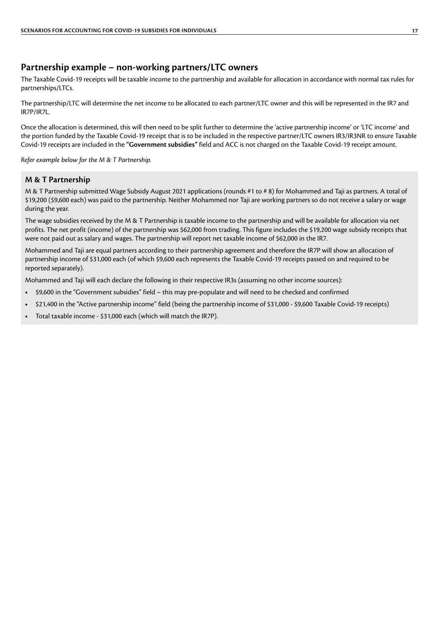#### <span id="page-16-0"></span>**Partnership example – non-working partners/LTC owners**

The Taxable Covid-19 receipts will be taxable income to the partnership and available for allocation in accordance with normal tax rules for partnerships/LTCs.

The partnership/LTC will determine the net income to be allocated to each partner/LTC owner and this will be represented in the IR7 and IR7P/IR7L.

Once the allocation is determined, this will then need to be split further to determine the 'active partnership income' or 'LTC income' and the portion funded by the Taxable Covid-19 receipt that is to be included in the respective partner/LTC owners IR3/IR3NR to ensure Taxable Covid-19 receipts are included in the **"Government subsidies"** field and ACC is not charged on the Taxable Covid-19 receipt amount.

*Refer example below for the M & T Partnership.*

#### **M & T Partnership**

M & T Partnership submitted Wage Subsidy August 2021 applications (rounds #1 to # 8) for Mohammed and Taji as partners. A total of \$19,200 (\$9,600 each) was paid to the partnership. Neither Mohammed nor Taji are working partners so do not receive a salary or wage during the year.

The wage subsidies received by the M & T Partnership is taxable income to the partnership and will be available for allocation via net profits. The net profit (income) of the partnership was \$62,000 from trading. This figure includes the \$19,200 wage subsidy receipts that were not paid out as salary and wages. The partnership will report net taxable income of \$62,000 in the IR7.

Mohammed and Taji are equal partners according to their partnership agreement and therefore the IR7P will show an allocation of partnership income of \$31,000 each (of which \$9,600 each represents the Taxable Covid-19 receipts passed on and required to be reported separately).

Mohammed and Taji will each declare the following in their respective IR3s (assuming no other income sources):

- **•** \$9,600 in the "Government subsidies" field this may pre-populate and will need to be checked and confirmed
- **•** \$21,400 in the "Active partnership income" field (being the partnership income of \$31,000 \$9,600 Taxable Covid-19 receipts)
- **•** Total taxable income \$31,000 each (which will match the IR7P).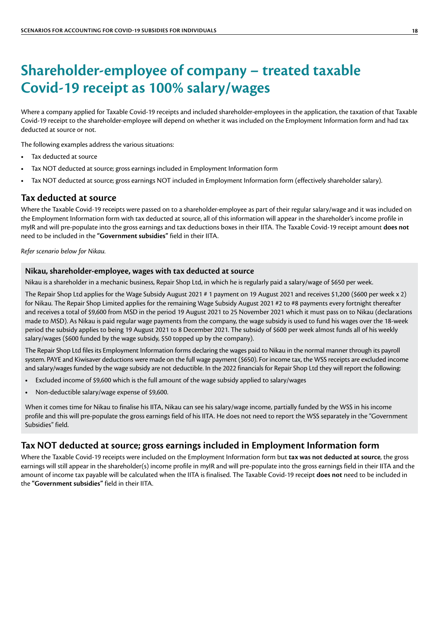### <span id="page-17-0"></span>**Shareholder-employee of company – treated taxable Covid-19 receipt as 100% salary/wages**

Where a company applied for Taxable Covid-19 receipts and included shareholder-employees in the application, the taxation of that Taxable Covid-19 receipt to the shareholder-employee will depend on whether it was included on the Employment Information form and had tax deducted at source or not.

The following examples address the various situations:

- **•** Tax deducted at source
- **•** Tax NOT deducted at source; gross earnings included in Employment Information form
- **•** Tax NOT deducted at source; gross earnings NOT included in Employment Information form (effectively shareholder salary).

#### **Tax deducted at source**

Where the Taxable Covid-19 receipts were passed on to a shareholder-employee as part of their regular salary/wage and it was included on the Employment Information form with tax deducted at source, all of this information will appear in the shareholder's income profile in myIR and will pre-populate into the gross earnings and tax deductions boxes in their IITA. The Taxable Covid-19 receipt amount **does not** need to be included in the **"Government subsidies"** field in their IITA.

*Refer scenario below for Nikau.*

#### **Nikau, shareholder-employee, wages with tax deducted at source**

Nikau is a shareholder in a mechanic business, Repair Shop Ltd, in which he is regularly paid a salary/wage of \$650 per week.

The Repair Shop Ltd applies for the Wage Subsidy August 2021 # 1 payment on 19 August 2021 and receives \$1,200 (\$600 per week x 2) for Nikau. The Repair Shop Limited applies for the remaining Wage Subsidy August 2021 #2 to #8 payments every fortnight thereafter and receives a total of \$9,600 from MSD in the period 19 August 2021 to 25 November 2021 which it must pass on to Nikau (declarations made to MSD). As Nikau is paid regular wage payments from the company, the wage subsidy is used to fund his wages over the 18-week period the subsidy applies to being 19 August 2021 to 8 December 2021. The subsidy of \$600 per week almost funds all of his weekly salary/wages (\$600 funded by the wage subsidy, \$50 topped up by the company).

The Repair Shop Ltd files its Employment Information forms declaring the wages paid to Nikau in the normal manner through its payroll system. PAYE and Kiwisaver deductions were made on the full wage payment (\$650). For income tax, the WSS receipts are excluded income and salary/wages funded by the wage subsidy are not deductible. In the 2022 financials for Repair Shop Ltd they will report the following:

- **•** Excluded income of \$9,600 which is the full amount of the wage subsidy applied to salary/wages
- **•** Non-deductible salary/wage expense of \$9,600.

When it comes time for Nikau to finalise his IITA, Nikau can see his salary/wage income, partially funded by the WSS in his income profile and this will pre-populate the gross earnings field of his IITA. He does not need to report the WSS separately in the "Government Subsidies" field.

#### **Tax NOT deducted at source; gross earnings included in Employment Information form**

Where the Taxable Covid-19 receipts were included on the Employment Information form but **tax was not deducted at source**, the gross earnings will still appear in the shareholder(s) income profile in myIR and will pre-populate into the gross earnings field in their IITA and the amount of income tax payable will be calculated when the IITA is finalised. The Taxable Covid-19 receipt **does not** need to be included in the **"Government subsidies"** field in their IITA.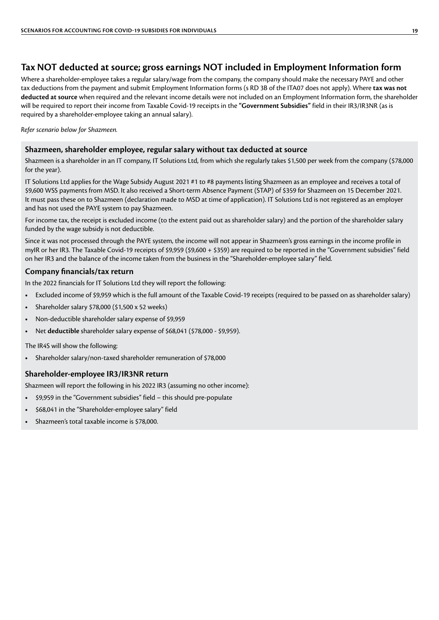#### <span id="page-18-0"></span>**Tax NOT deducted at source; gross earnings NOT included in Employment Information form**

Where a shareholder-employee takes a regular salary/wage from the company, the company should make the necessary PAYE and other tax deductions from the payment and submit Employment Information forms (s RD 3B of the ITA07 does not apply). Where **tax was not deducted at source** when required and the relevant income details were not included on an Employment Information form, the shareholder will be required to report their income from Taxable Covid-19 receipts in the **"Government Subsidies"** field in their IR3/IR3NR (as is required by a shareholder-employee taking an annual salary).

*Refer scenario below for Shazmeen.*

#### **Shazmeen, shareholder employee, regular salary without tax deducted at source**

Shazmeen is a shareholder in an IT company, IT Solutions Ltd, from which she regularly takes \$1,500 per week from the company (\$78,000 for the year).

IT Solutions Ltd applies for the Wage Subsidy August 2021 #1 to #8 payments listing Shazmeen as an employee and receives a total of \$9,600 WSS payments from MSD. It also received a Short-term Absence Payment (STAP) of \$359 for Shazmeen on 15 December 2021. It must pass these on to Shazmeen (declaration made to MSD at time of application). IT Solutions Ltd is not registered as an employer and has not used the PAYE system to pay Shazmeen.

For income tax, the receipt is excluded income (to the extent paid out as shareholder salary) and the portion of the shareholder salary funded by the wage subsidy is not deductible.

Since it was not processed through the PAYE system, the income will not appear in Shazmeen's gross earnings in the income profile in myIR or her IR3. The Taxable Covid-19 receipts of \$9,959 (\$9,600 + \$359) are required to be reported in the "Government subsidies" field on her IR3 and the balance of the income taken from the business in the "Shareholder-employee salary" field.

#### **Company financials/tax return**

In the 2022 financials for IT Solutions Ltd they will report the following:

- **•** Excluded income of \$9,959 which is the full amount of the Taxable Covid-19 receipts (required to be passed on as shareholder salary)
- **•** Shareholder salary \$78,000 (\$1,500 x 52 weeks)
- **•** Non-deductible shareholder salary expense of \$9,959
- **•** Net **deductible** shareholder salary expense of \$68,041 (\$78,000 \$9,959).

The IR4S will show the following:

**•** Shareholder salary/non-taxed shareholder remuneration of \$78,000

#### **Shareholder-employee IR3/IR3NR return**

Shazmeen will report the following in his 2022 IR3 (assuming no other income):

- **•** \$9,959 in the "Government subsidies" field this should pre-populate
- **•** \$68,041 in the "Shareholder-employee salary" field
- **•** Shazmeen's total taxable income is \$78,000.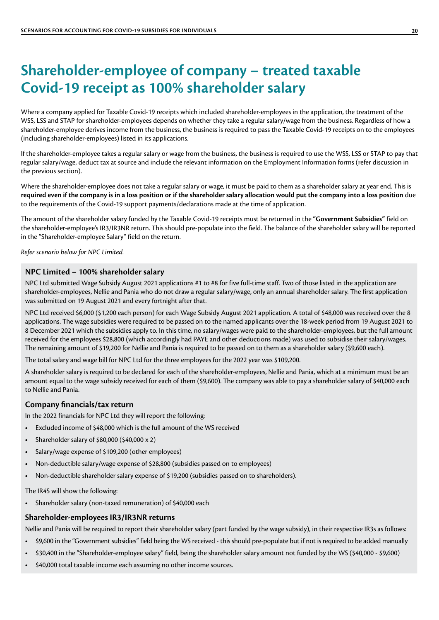### <span id="page-19-0"></span>**Shareholder-employee of company – treated taxable Covid-19 receipt as 100% shareholder salary**

Where a company applied for Taxable Covid-19 receipts which included shareholder-employees in the application, the treatment of the WSS, LSS and STAP for shareholder-employees depends on whether they take a regular salary/wage from the business. Regardless of how a shareholder-employee derives income from the business, the business is required to pass the Taxable Covid-19 receipts on to the employees (including shareholder-employees) listed in its applications.

If the shareholder-employee takes a regular salary or wage from the business, the business is required to use the WSS, LSS or STAP to pay that regular salary/wage, deduct tax at source and include the relevant information on the Employment Information forms (refer discussion in the previous section).

Where the shareholder-employee does not take a regular salary or wage, it must be paid to them as a shareholder salary at year end. This is **required even if the company is in a loss position or if the shareholder salary allocation would put the company into a loss position** due to the requirements of the Covid-19 support payments/declarations made at the time of application.

The amount of the shareholder salary funded by the Taxable Covid-19 receipts must be returned in the **"Government Subsidies"** field on the shareholder-employee's IR3/IR3NR return. This should pre-populate into the field. The balance of the shareholder salary will be reported in the "Shareholder-employee Salary" field on the return.

*Refer scenario below for NPC Limited.*

#### **NPC Limited – 100% shareholder salary**

NPC Ltd submitted Wage Subsidy August 2021 applications #1 to #8 for five full-time staff. Two of those listed in the application are shareholder-employees, Nellie and Pania who do not draw a regular salary/wage, only an annual shareholder salary. The first application was submitted on 19 August 2021 and every fortnight after that.

NPC Ltd received \$6,000 (\$1,200 each person) for each Wage Subsidy August 2021 application. A total of \$48,000 was received over the 8 applications. The wage subsidies were required to be passed on to the named applicants over the 18-week period from 19 August 2021 to 8 December 2021 which the subsidies apply to. In this time, no salary/wages were paid to the shareholder-employees, but the full amount received for the employees \$28,800 (which accordingly had PAYE and other deductions made) was used to subsidise their salary/wages. The remaining amount of \$19,200 for Nellie and Pania is required to be passed on to them as a shareholder salary (\$9,600 each).

The total salary and wage bill for NPC Ltd for the three employees for the 2022 year was \$109,200.

A shareholder salary is required to be declared for each of the shareholder-employees, Nellie and Pania, which at a minimum must be an amount equal to the wage subsidy received for each of them (\$9,600). The company was able to pay a shareholder salary of \$40,000 each to Nellie and Pania.

#### **Company financials/tax return**

In the 2022 financials for NPC Ltd they will report the following:

- **•** Excluded income of \$48,000 which is the full amount of the WS received
- **•** Shareholder salary of \$80,000 (\$40,000 x 2)
- **•** Salary/wage expense of \$109,200 (other employees)
- **•** Non-deductible salary/wage expense of \$28,800 (subsidies passed on to employees)
- **•** Non-deductible shareholder salary expense of \$19,200 (subsidies passed on to shareholders).

The IR4S will show the following:

**•** Shareholder salary (non-taxed remuneration) of \$40,000 each

#### **Shareholder-employees IR3/IR3NR returns**

Nellie and Pania will be required to report their shareholder salary (part funded by the wage subsidy), in their respective IR3s as follows:

- **•** \$9,600 in the "Government subsidies" field being the WS received this should pre-populate but if not is required to be added manually
- **•** \$30,400 in the "Shareholder-employee salary" field, being the shareholder salary amount not funded by the WS (\$40,000 \$9,600)
- **•** \$40,000 total taxable income each assuming no other income sources.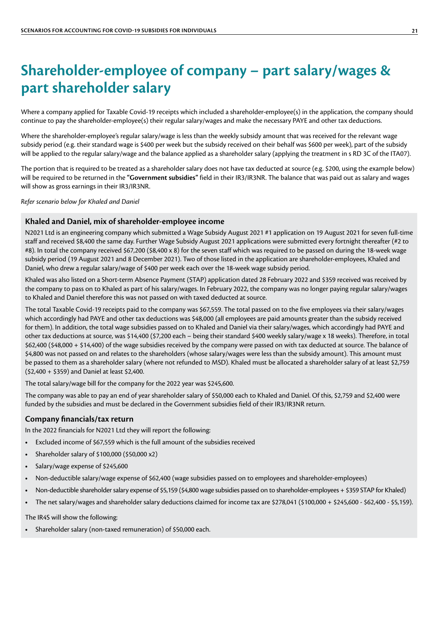### <span id="page-20-0"></span>**Shareholder-employee of company – part salary/wages & part shareholder salary**

Where a company applied for Taxable Covid-19 receipts which included a shareholder-employee(s) in the application, the company should continue to pay the shareholder-employee(s) their regular salary/wages and make the necessary PAYE and other tax deductions.

Where the shareholder-employee's regular salary/wage is less than the weekly subsidy amount that was received for the relevant wage subsidy period (e.g. their standard wage is \$400 per week but the subsidy received on their behalf was \$600 per week), part of the subsidy will be applied to the regular salary/wage and the balance applied as a shareholder salary (applying the treatment in s RD 3C of the ITA07).

The portion that is required to be treated as a shareholder salary does not have tax deducted at source (e.g. \$200, using the example below) will be required to be returned in the **"Government subsidies"** field in their IR3/IR3NR. The balance that was paid out as salary and wages will show as gross earnings in their IR3/IR3NR.

*Refer scenario below for Khaled and Daniel*

#### **Khaled and Daniel, mix of shareholder-employee income**

N2021 Ltd is an engineering company which submitted a Wage Subsidy August 2021 #1 application on 19 August 2021 for seven full-time staff and received \$8,400 the same day. Further Wage Subsidy August 2021 applications were submitted every fortnight thereafter (#2 to #8). In total the company received \$67,200 (\$8,400 x 8) for the seven staff which was required to be passed on during the 18-week wage subsidy period (19 August 2021 and 8 December 2021). Two of those listed in the application are shareholder-employees, Khaled and Daniel, who drew a regular salary/wage of \$400 per week each over the 18-week wage subsidy period.

Khaled was also listed on a Short-term Absence Payment (STAP) application dated 28 February 2022 and \$359 received was received by the company to pass on to Khaled as part of his salary/wages. In February 2022, the company was no longer paying regular salary/wages to Khaled and Daniel therefore this was not passed on with taxed deducted at source.

The total Taxable Covid-19 receipts paid to the company was \$67,559. The total passed on to the five employees via their salary/wages which accordingly had PAYE and other tax deductions was \$48,000 (all employees are paid amounts greater than the subsidy received for them). In addition, the total wage subsidies passed on to Khaled and Daniel via their salary/wages, which accordingly had PAYE and other tax deductions at source, was \$14,400 (\$7,200 each – being their standard \$400 weekly salary/wage x 18 weeks). Therefore, in total \$62,400 (\$48,000 + \$14,400) of the wage subsidies received by the company were passed on with tax deducted at source. The balance of \$4,800 was not passed on and relates to the shareholders (whose salary/wages were less than the subsidy amount). This amount must be passed to them as a shareholder salary (where not refunded to MSD). Khaled must be allocated a shareholder salary of at least \$2,759 (\$2,400 + \$359) and Daniel at least \$2,400.

The total salary/wage bill for the company for the 2022 year was \$245,600.

The company was able to pay an end of year shareholder salary of \$50,000 each to Khaled and Daniel. Of this, \$2,759 and \$2,400 were funded by the subsidies and must be declared in the Government subsidies field of their IR3/IR3NR return.

#### **Company financials/tax return**

In the 2022 financials for N2021 Ltd they will report the following:

- **•** Excluded income of \$67,559 which is the full amount of the subsidies received
- **•** Shareholder salary of \$100,000 (\$50,000 x2)
- **•** Salary/wage expense of \$245,600
- **•** Non-deductible salary/wage expense of \$62,400 (wage subsidies passed on to employees and shareholder-employees)
- **•** Non-deductible shareholder salary expense of \$5,159 (\$4,800 wage subsidies passed on to shareholder-employees + \$359 STAP for Khaled)
- **•** The net salary/wages and shareholder salary deductions claimed for income tax are \$278,041 (\$100,000 + \$245,600 \$62,400 \$5,159).

The IR4S will show the following:

**•** Shareholder salary (non-taxed remuneration) of \$50,000 each.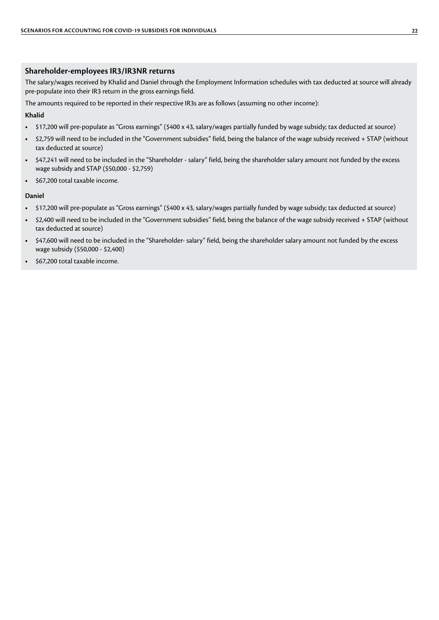#### **Shareholder-employees IR3/IR3NR returns**

The salary/wages received by Khalid and Daniel through the Employment Information schedules with tax deducted at source will already pre-populate into their IR3 return in the gross earnings field.

The amounts required to be reported in their respective IR3s are as follows (assuming no other income):

#### **Khalid**

- **•** \$17,200 will pre-populate as "Gross earnings" (\$400 x 43, salary/wages partially funded by wage subsidy; tax deducted at source)
- **•** \$2,759 will need to be included in the "Government subsidies" field, being the balance of the wage subsidy received + STAP (without tax deducted at source)
- **•** \$47,241 will need to be included in the "Shareholder salary" field, being the shareholder salary amount not funded by the excess wage subsidy and STAP (\$50,000 - \$2,759)
- **•** \$67,200 total taxable income.

#### **Daniel**

- **•** \$17,200 will pre-populate as "Gross earnings" (\$400 x 43, salary/wages partially funded by wage subsidy; tax deducted at source)
- **•** \$2,400 will need to be included in the "Government subsidies" field, being the balance of the wage subsidy received + STAP (without tax deducted at source)
- **•** \$47,600 will need to be included in the "Shareholder- salary" field, being the shareholder salary amount not funded by the excess wage subsidy (\$50,000 - \$2,400)
- **•** \$67,200 total taxable income.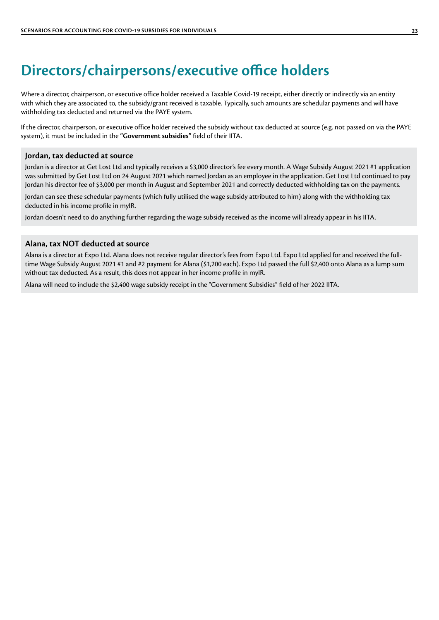### <span id="page-22-0"></span>**Directors/chairpersons/executive office holders**

Where a director, chairperson, or executive office holder received a Taxable Covid-19 receipt, either directly or indirectly via an entity with which they are associated to, the subsidy/grant received is taxable. Typically, such amounts are schedular payments and will have withholding tax deducted and returned via the PAYE system.

If the director, chairperson, or executive office holder received the subsidy without tax deducted at source (e.g. not passed on via the PAYE system), it must be included in the **"Government subsidies"** field of their IITA.

#### **Jordan, tax deducted at source**

Jordan is a director at Get Lost Ltd and typically receives a \$3,000 director's fee every month. A Wage Subsidy August 2021 #1 application was submitted by Get Lost Ltd on 24 August 2021 which named Jordan as an employee in the application. Get Lost Ltd continued to pay Jordan his director fee of \$3,000 per month in August and September 2021 and correctly deducted withholding tax on the payments.

Jordan can see these schedular payments (which fully utilised the wage subsidy attributed to him) along with the withholding tax deducted in his income profile in myIR.

Jordan doesn't need to do anything further regarding the wage subsidy received as the income will already appear in his IITA.

#### **Alana, tax NOT deducted at source**

Alana is a director at Expo Ltd. Alana does not receive regular director's fees from Expo Ltd. Expo Ltd applied for and received the fulltime Wage Subsidy August 2021 #1 and #2 payment for Alana (\$1,200 each). Expo Ltd passed the full \$2,400 onto Alana as a lump sum without tax deducted. As a result, this does not appear in her income profile in myIR.

Alana will need to include the \$2,400 wage subsidy receipt in the "Government Subsidies" field of her 2022 IITA.